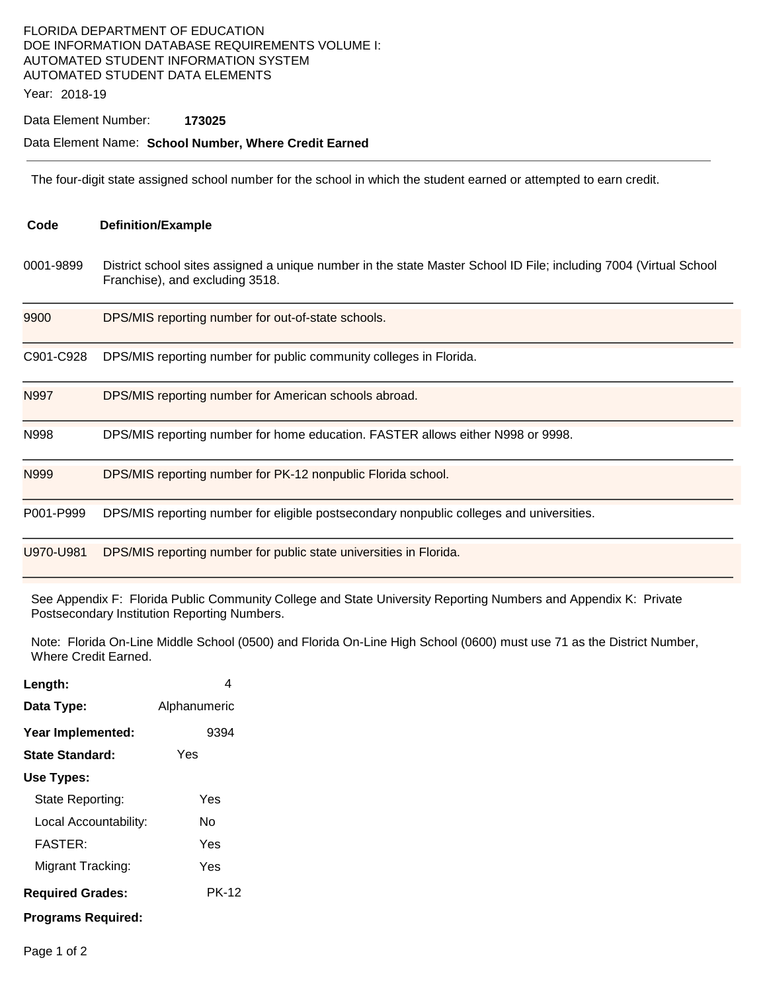## FLORIDA DEPARTMENT OF EDUCATION DOE INFORMATION DATABASE REQUIREMENTS VOLUME I: AUTOMATED STUDENT INFORMATION SYSTEM AUTOMATED STUDENT DATA ELEMENTS

Year: 2018-19

### Data Element Number: **173025**

#### Data Element Name: **School Number, Where Credit Earned**

The four-digit state assigned school number for the school in which the student earned or attempted to earn credit.

| Code      | <b>Definition/Example</b>                                                                                                                            |
|-----------|------------------------------------------------------------------------------------------------------------------------------------------------------|
| 0001-9899 | District school sites assigned a unique number in the state Master School ID File; including 7004 (Virtual School<br>Franchise), and excluding 3518. |
| 9900      | DPS/MIS reporting number for out-of-state schools.                                                                                                   |
| C901-C928 | DPS/MIS reporting number for public community colleges in Florida.                                                                                   |
| N997      | DPS/MIS reporting number for American schools abroad.                                                                                                |
| N998      | DPS/MIS reporting number for home education. FASTER allows either N998 or 9998.                                                                      |
| N999      | DPS/MIS reporting number for PK-12 nonpublic Florida school.                                                                                         |
| P001-P999 | DPS/MIS reporting number for eligible postsecondary nonpublic colleges and universities.                                                             |
| U970-U981 | DPS/MIS reporting number for public state universities in Florida.                                                                                   |

See Appendix F: Florida Public Community College and State University Reporting Numbers and Appendix K: Private Postsecondary Institution Reporting Numbers.

Note: Florida On-Line Middle School (0500) and Florida On-Line High School (0600) must use 71 as the District Number, Where Credit Earned.

| Length:                 | 4            |  |  |  |
|-------------------------|--------------|--|--|--|
| Data Type:              | Alphanumeric |  |  |  |
| Year Implemented:       | 9394         |  |  |  |
| State Standard:         | Yes          |  |  |  |
| Use Types:              |              |  |  |  |
| State Reporting:        | Yes          |  |  |  |
| Local Accountability:   | N٥           |  |  |  |
| <b>FASTER:</b>          | Yes          |  |  |  |
| Migrant Tracking:       | Yes          |  |  |  |
| <b>Required Grades:</b> | <b>PK-12</b> |  |  |  |
| Programs Reguired:      |              |  |  |  |